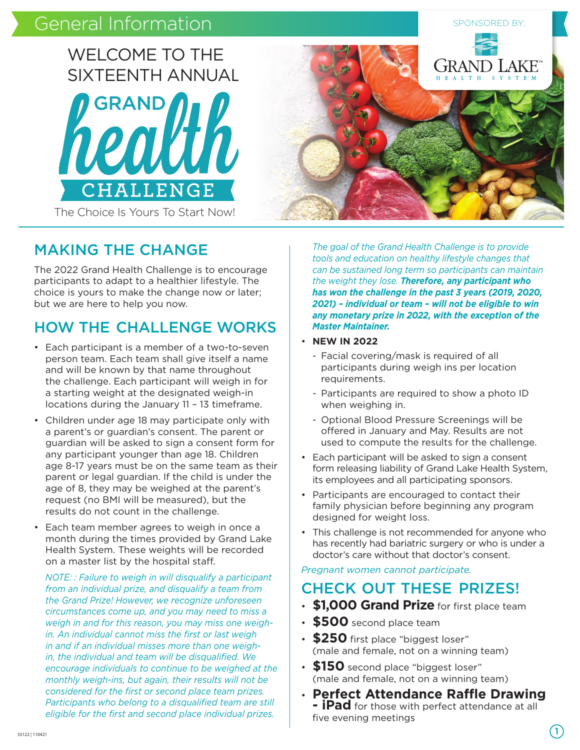# General Information SPONSORED BY: SPONSORED BY:



The Choice Is Yours To Start Now!

### MAKING THE CHANGE

The 2022 Grand Health Challenge is to encourage participants to adapt to a healthier lifestyle. The choice is yours to make the change now or later; but we are here to help you now.

## HOW THE CHALLENGE WORKS

- Each participant is a member of a two-to-seven person team. Each team shall give itself a name and will be known by that name throughout the challenge. Each participant will weigh in for a starting weight at the designated weigh-in locations during the January 11 – 13 timeframe.
- Children under age 18 may participate only with a parent's or guardian's consent. The parent or guardian will be asked to sign a consent form for any participant younger than age 18. Children age 8-17 years must be on the same team as their parent or legal guardian. If the child is under the age of 8, they may be weighed at the parent's request (no BMI will be measured), but the results do not count in the challenge.
- Each team member agrees to weigh in once a month during the times provided by Grand Lake Health System. These weights will be recorded on a master list by the hospital staff.

*NOTE: : Failure to weigh in will disqualify a participant from an individual prize, and disqualify a team from the Grand Prize! However, we recognize unforeseen circumstances come up, and you may need to miss a weigh in and for this reason, you may miss one weighin. An individual cannot miss the first or last weigh in and if an individual misses more than one weighin, the individual and team will be disqualified. We encourage individuals to continue to be weighed at the monthly weigh-ins, but again, their results will not be considered for the first or second place team prizes. Participants who belong to a disqualified team are still eligible for the first and second place individual prizes.* 



*The goal of the Grand Health Challenge is to provide tools and education on healthy lifestyle changes that can be sustained long term so participants can maintain the weight they lose. Therefore, any participant who has won the challenge in the past 3 years (2019, 2020, 2021) – individual or team – will not be eligible to win any monetary prize in 2022, with the exception of the Master Maintainer.*

#### • **NEW IN 2022**

- Facial covering/mask is required of all participants during weigh ins per location requirements.
- Participants are required to show a photo ID when weighing in.
- Optional Blood Pressure Screenings will be offered in January and May. Results are not used to compute the results for the challenge.
- Each participant will be asked to sign a consent form releasing liability of Grand Lake Health System, its employees and all participating sponsors.
- Participants are encouraged to contact their family physician before beginning any program designed for weight loss.
- This challenge is not recommended for anyone who has recently had bariatric surgery or who is under a doctor's care without that doctor's consent.

*Pregnant women cannot participate.*

### CHECK OUT THESE PRIZES!

- **\$1,000 Grand Prize** for first place team
- **\$500** second place team
- **\$250** first place "biggest loser" (male and female, not on a winning team)
- **\$150** second place "biggest loser" (male and female, not on a winning team)
- **Perfect Attendance Raffle Drawing - iPad** for those with perfect attendance at all five evening meetings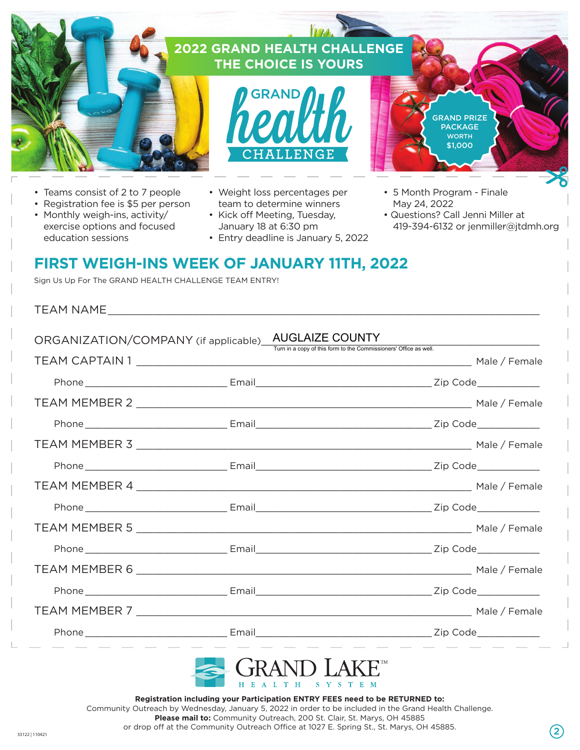

- 
- Registration fee is \$5 per person
- Monthly weigh-ins, activity/ exercise options and focused education sessions
- Weight loss percentages per team to determine winners
- Kick off Meeting, Tuesday, January 18 at 6:30 pm
- Entry deadline is January 5, 2022
- 5 Month Program Finale May 24, 2022
- Questions? Call Jenni Miller at 419-394-6132 or jenmiller@jtdmh.org

### **FIRST WEIGH-INS WEEK OF JANUARY 11TH, 2022**

Sign Us Up For The GRAND HEALTH CHALLENGE TEAM ENTRY!

| ORGANIZATION/COMPANY (if applicable) AUGLAIZE COUNTY | Turn in a copy of this form to the Commissioners' Office as well. |
|------------------------------------------------------|-------------------------------------------------------------------|
|                                                      |                                                                   |
|                                                      |                                                                   |
|                                                      |                                                                   |
|                                                      |                                                                   |
|                                                      |                                                                   |
|                                                      |                                                                   |
|                                                      |                                                                   |
|                                                      |                                                                   |
|                                                      |                                                                   |
|                                                      |                                                                   |
|                                                      |                                                                   |
|                                                      |                                                                   |
| _______________________                              | <u> 1980 - Andrea State Barbara, poeta estas por alta</u>         |



**Registration including your Participation ENTRY FEES need to be RETURNED to:** Community Outreach by Wednesday, January 5, 2022 in order to be included in the Grand Health Challenge. **Please mail to:** Community Outreach, 200 St. Clair, St. Marys, OH 45885

or drop off at the Community Outreach Office at 1027 E. Spring St., St. Marys, OH 45885. 33122 | 110421 2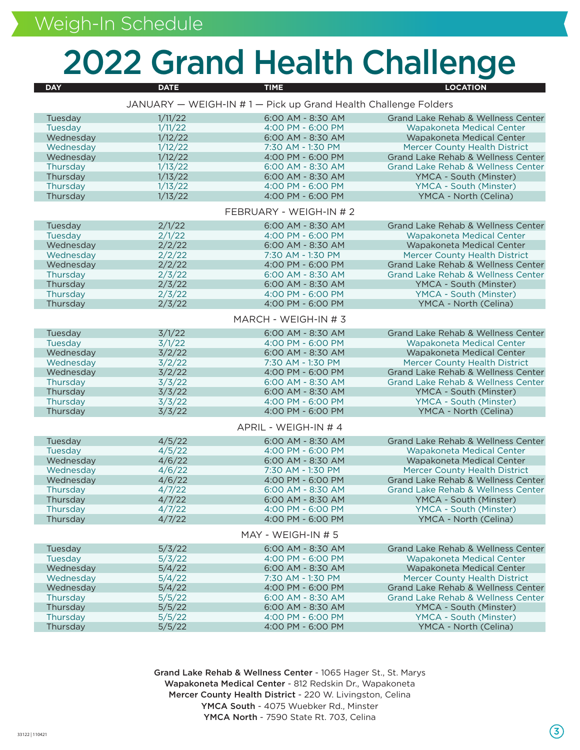# 2022 Grand Health Challenge

| <b>DAY</b>                                                     | <b>DATE</b>        | <b>TIME</b>                            | <b>LOCATION</b>                                  |  |
|----------------------------------------------------------------|--------------------|----------------------------------------|--------------------------------------------------|--|
| JANUARY - WEIGH-IN #1 - Pick up Grand Health Challenge Folders |                    |                                        |                                                  |  |
|                                                                |                    |                                        |                                                  |  |
| Tuesday                                                        | 1/11/22            | 6:00 AM - 8:30 AM                      | Grand Lake Rehab & Wellness Center               |  |
| Tuesday                                                        | 1/11/22            | 4:00 PM - 6:00 PM                      | Wapakoneta Medical Center                        |  |
| Wednesday                                                      | 1/12/22            | 6:00 AM - 8:30 AM                      | Wapakoneta Medical Center                        |  |
| Wednesday                                                      | 1/12/22            | 7:30 AM - 1:30 PM                      | <b>Mercer County Health District</b>             |  |
| Wednesday                                                      | 1/12/22            | 4:00 PM - 6:00 PM                      | Grand Lake Rehab & Wellness Center               |  |
| Thursday                                                       | 1/13/22            | 6:00 AM - 8:30 AM                      | <b>Grand Lake Rehab &amp; Wellness Center</b>    |  |
| Thursday<br>Thursday                                           | 1/13/22<br>1/13/22 | 6:00 AM - 8:30 AM<br>4:00 PM - 6:00 PM | YMCA - South (Minster)<br>YMCA - South (Minster) |  |
| Thursday                                                       | 1/13/22            | 4:00 PM - 6:00 PM                      | YMCA - North (Celina)                            |  |
|                                                                |                    |                                        |                                                  |  |
| FEBRUARY - WEIGH-IN # 2                                        |                    |                                        |                                                  |  |
| Tuesday                                                        | 2/1/22             | 6:00 AM - 8:30 AM                      | Grand Lake Rehab & Wellness Center               |  |
| Tuesday                                                        | 2/1/22             | 4:00 PM - 6:00 PM                      | Wapakoneta Medical Center                        |  |
| Wednesday                                                      | 2/2/22             | 6:00 AM - 8:30 AM                      | Wapakoneta Medical Center                        |  |
| Wednesday                                                      | 2/2/22             | 7:30 AM - 1:30 PM                      | <b>Mercer County Health District</b>             |  |
| Wednesday                                                      | 2/2/22             | 4:00 PM - 6:00 PM                      | Grand Lake Rehab & Wellness Center               |  |
| Thursday                                                       | 2/3/22             | 6:00 AM - 8:30 AM                      | <b>Grand Lake Rehab &amp; Wellness Center</b>    |  |
| Thursday                                                       | 2/3/22             | 6:00 AM - 8:30 AM                      | YMCA - South (Minster)                           |  |
| Thursday                                                       | 2/3/22             | 4:00 PM - 6:00 PM                      | YMCA - South (Minster)                           |  |
| Thursday                                                       | 2/3/22             | 4:00 PM - 6:00 PM                      | YMCA - North (Celina)                            |  |
| MARCH - WEIGH-IN #3                                            |                    |                                        |                                                  |  |
| Tuesday                                                        | 3/1/22             | 6:00 AM - 8:30 AM                      | Grand Lake Rehab & Wellness Center               |  |
| Tuesday                                                        | 3/1/22             | 4:00 PM - 6:00 PM                      | Wapakoneta Medical Center                        |  |
| Wednesday                                                      | 3/2/22             | 6:00 AM - 8:30 AM                      | Wapakoneta Medical Center                        |  |
| Wednesday                                                      | 3/2/22             | 7:30 AM - 1:30 PM                      | <b>Mercer County Health District</b>             |  |
| Wednesday                                                      | 3/2/22             | 4:00 PM - 6:00 PM                      | Grand Lake Rehab & Wellness Center               |  |
| Thursday                                                       | 3/3/22             | 6:00 AM - 8:30 AM                      | <b>Grand Lake Rehab &amp; Wellness Center</b>    |  |
| Thursday                                                       | 3/3/22             | 6:00 AM - 8:30 AM                      | YMCA - South (Minster)                           |  |
| Thursday                                                       | 3/3/22             | 4:00 PM - 6:00 PM                      | YMCA - South (Minster)                           |  |
| Thursday                                                       | 3/3/22             | 4:00 PM - 6:00 PM                      | YMCA - North (Celina)                            |  |
| APRIL - WEIGH-IN # 4                                           |                    |                                        |                                                  |  |
| Tuesday                                                        | 4/5/22             | 6:00 AM - 8:30 AM                      | Grand Lake Rehab & Wellness Center               |  |
| Tuesday                                                        | 4/5/22             | 4:00 PM - 6:00 PM                      | Wapakoneta Medical Center                        |  |
| Wednesday                                                      | 4/6/22             | 6:00 AM - 8:30 AM                      | Wapakoneta Medical Center                        |  |
| Wednesday                                                      | 4/6/22             | 7:30 AM - 1:30 PM                      | <b>Mercer County Health District</b>             |  |
| Wednesday                                                      | 4/6/22             | 4:00 PM - 6:00 PM                      | Grand Lake Rehab & Wellness Center               |  |
| Thursday                                                       | 4/7/22             | 6:00 AM - 8:30 AM                      | <b>Grand Lake Rehab &amp; Wellness Center</b>    |  |
| Thursday                                                       | 4/7/22             | 6:00 AM - 8:30 AM                      | YMCA - South (Minster)                           |  |
| Thursday                                                       | 4/7/22             | 4:00 PM - 6:00 PM                      | YMCA - South (Minster)                           |  |
| Thursday                                                       | 4/7/22             | 4:00 PM - 6:00 PM                      | YMCA - North (Celina)                            |  |
| MAY - WEIGH-IN # 5                                             |                    |                                        |                                                  |  |
| Tuesday                                                        | 5/3/22             | 6:00 AM - 8:30 AM                      | Grand Lake Rehab & Wellness Center               |  |
| Tuesday                                                        | 5/3/22             | 4:00 PM - 6:00 PM                      | Wapakoneta Medical Center                        |  |
| Wednesday                                                      | 5/4/22             | 6:00 AM - 8:30 AM                      | Wapakoneta Medical Center                        |  |
| Wednesday                                                      | 5/4/22             | 7:30 AM - 1:30 PM                      | <b>Mercer County Health District</b>             |  |
| Wednesday                                                      | 5/4/22             | 4:00 PM - 6:00 PM                      | Grand Lake Rehab & Wellness Center               |  |
| Thursday                                                       | 5/5/22             | 6:00 AM - 8:30 AM                      | <b>Grand Lake Rehab &amp; Wellness Center</b>    |  |
| Thursday                                                       | 5/5/22             | 6:00 AM - 8:30 AM                      | YMCA - South (Minster)                           |  |
| Thursday                                                       | 5/5/22             | 4:00 PM - 6:00 PM                      | YMCA - South (Minster)                           |  |
| Thursday                                                       | 5/5/22             | 4:00 PM - 6:00 PM                      | YMCA - North (Celina)                            |  |

Grand Lake Rehab & Wellness Center - 1065 Hager St., St. Marys Wapakoneta Medical Center - 812 Redskin Dr., Wapakoneta Mercer County Health District - 220 W. Livingston, Celina YMCA South - 4075 Wuebker Rd., Minster YMCA North - 7590 State Rt. 703, Celina